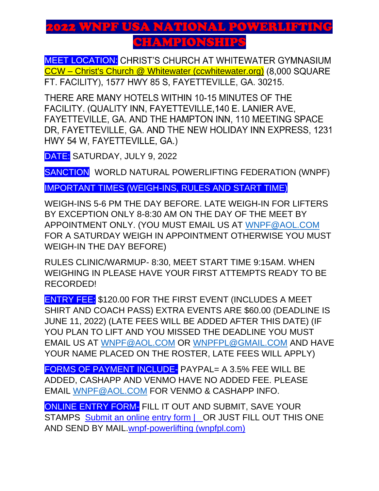## 2022 WNPF USA NATIONAL POWERLIFTING CHAMPIONSHIP

**MEET LOCATION:** CHRIST'S CHURCH AT WHITEWATER GYMNASIUM CCW – [Christ's Church @ Whitewater \(ccwhitewater.org\)](https://ccwhitewater.org/) (8,000 SQUARE FT. FACILITY), 1577 HWY 85 S, FAYETTEVILLE, GA. 30215.

THERE ARE MANY HOTELS WITHIN 10-15 MINUTES OF THE FACILITY. (QUALITY INN, FAYETTEVILLE, 140 E. LANIER AVE, FAYETTEVILLE, GA. AND THE HAMPTON INN, 110 MEETING SPACE DR. FAYETTEVILLE, GA. AND THE NEW HOLIDAY INN EXPRESS, 1231 HWY 54 W, FAYETTEVILLE, GA.)

DATE: SATURDAY, JULY 9, 2022

SANCTION WORLD NATURAL POWERLIFTING FEDERATION (WNPF)

IMPORTANT TIMES (WEIGH-INS, RULES AND START TIME)

WEIGH-INS 5-6 PM THE DAY BEFORE. LATE WEIGH-IN FOR LIFTERS BY EXCEPTION ONLY 8-8:30 AM ON THE DAY OF THE MEET BY APPOINTMENT ONLY. (YOU MUST EMAIL US AT [WNPF@AOL.COM](mailto:WNPF@AOL.COM) FOR A SATURDAY WEIGH IN APPOINTMENT OTHERWISE YOU MUST WEIGH-IN THE DAY BEFORE)

RULES CLINIC/WARMUP- 8:30, MEET START TIME 9:15AM. WHEN WEIGHING IN PLEASE HAVE YOUR FIRST ATTEMPTS READY TO BE RECORDED!

ENTRY FEE: \$120.00 FOR THE FIRST EVENT (INCLUDES A MEET SHIRT AND COACH PASS) EXTRA EVENTS ARE \$60.00 (DEADLINE IS JUNE 11, 2022) (LATE FEES WILL BE ADDED AFTER THIS DATE) (IF YOU PLAN TO LIFT AND YOU MISSED THE DEADLINE YOU MUST EMAIL US AT [WNPF@AOL.COM](mailto:WNPF@AOL.COM) OR [WNPFPL@GMAIL.COM](mailto:WNPFPL@GMAIL.COM) AND HAVE YOUR NAME PLACED ON THE ROSTER, LATE FEES WILL APPLY)

FORMS OF PAYMENT INCLUDE- PAYPAL= A 3.5% FEE WILL BE ADDED, CASHAPP AND VENMO HAVE NO ADDED FEE. PLEASE EMAIL [WNPF@AOL.COM](mailto:WNPF@AOL.COM) FOR VENMO & CASHAPP INFO.

ONLINE ENTRY FORM- FILL IT OUT AND SUBMIT, SAVE YOUR STAMPS Submit an online entry form | OR JUST FILL OUT THIS ONE [AND SEND BY MAIL.wnpf-powerlifting \(wnpfpl.com\)](https://www.wnpfpl.com/submit-an-online-entry-form)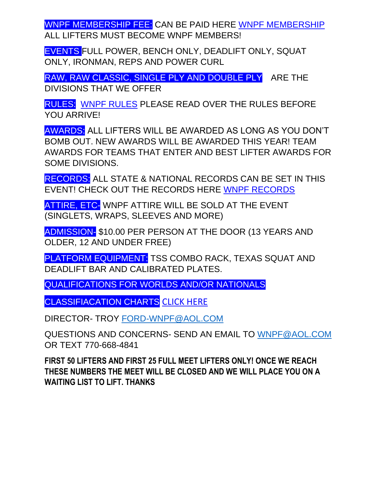WNPF MEMBERSHIP FEE: CAN BE PAID HERE [WNPF MEMBERSHIP](https://www.wnpfpl.com/online-membership-form) ALL LIFTERS MUST BECOME WNPF MEMBERS!

EVENTS FULL POWER, BENCH ONLY, DEADLIFT ONLY, SQUAT ONLY, IRONMAN, REPS AND POWER CURL

RAW, RAW CLASSIC, SINGLE PLY AND DOUBLE PLY ARE THE DIVISIONS THAT WE OFFER

RULES: [WNPF RULES](https://e1736ca4-7373-44b7-b522-77e81279f2d7.filesusr.com/ugd/6a501f_14f6127424fb4b759e8c48d9b84a761f.pdf) PLEASE READ OVER THE RULES BEFORE YOU ARRIVE!

AWARDS: ALL LIFTERS WILL BE AWARDED AS LONG AS YOU DON'T BOMB OUT. NEW AWARDS WILL BE AWARDED THIS YEAR! TEAM AWARDS FOR TEAMS THAT ENTER AND BEST LIFTER AWARDS FOR SOME DIVISIONS.

RECORDS: ALL STATE & NATIONAL RECORDS CAN BE SET IN THIS EVENT! CHECK OUT THE RECORDS HERE [WNPF RECORDS](https://www.wnpfpl.com/state-records) 

ATTIRE, ETC- WNPF ATTIRE WILL BE SOLD AT THE EVENT (SINGLETS, WRAPS, SLEEVES AND MORE)

ADMISSION- \$10.00 PER PERSON AT THE DOOR (13 YEARS AND OLDER, 12 AND UNDER FREE)

PLATFORM EQUIPMENT: TSS COMBO RACK, TEXAS SQUAT AND DEADLIFT BAR AND CALIBRATED PLATES.

QUALIFICATIONS FOR WORLDS AND/OR NATIONALS

CLASSIFIACATION CHARTS [CLICK HERE](https://e1736ca4-7373-44b7-b522-77e81279f2d7.filesusr.com/ugd/6a501f_425f6e01a15c439f9bdcad92ba6f900c.pdf)

DIRECTOR- TROY [FORD-WNPF@AOL.COM](mailto:FORD-WNPF@AOL.COM)

QUESTIONS AND CONCERNS- SEND AN EMAIL TO [WNPF@AOL.COM](mailto:WNPF@AOL.COM) OR TEXT 770-668-4841

**FIRST 50 LIFTERS AND FIRST 25 FULL MEET LIFTERS ONLY! ONCE WE REACH THESE NUMBERS THE MEET WILL BE CLOSED AND WE WILL PLACE YOU ON A WAITING LIST TO LIFT. THANKS**